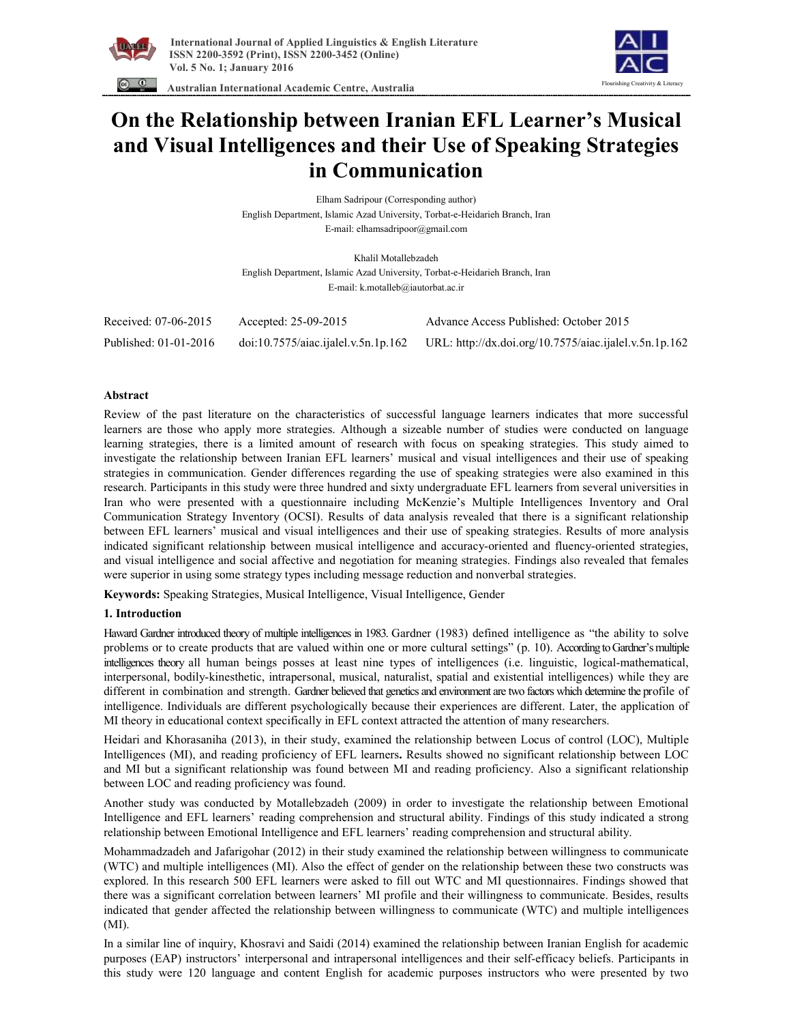

 **International Journal of Applied Linguistics & English Literature ISSN 2200-3592 (Print), ISSN 2200-3452 (Online) Vol. 5 No. 1; January 2016** 





# **On the Relationship between Iranian EFL Learner's Musical and Visual Intelligences and their Use of Speaking Strategies in Communication**

Elham Sadripour (Corresponding author) English Department, Islamic Azad University, Torbat-e-Heidarieh Branch, Iran E-mail: elhamsadripoor@gmail.com

Khalil Motallebzadeh English Department, Islamic Azad University, Torbat-e-Heidarieh Branch, Iran E-mail: k.motalleb@iautorbat.ac.ir

| Received: 07-06-2015  | Accepted: 25-09-2015                       | Advance Access Published: October 2015                 |
|-----------------------|--------------------------------------------|--------------------------------------------------------|
| Published: 01-01-2016 | $\frac{10.7575}{a}$ iac.ijalel.v.5n.1p.162 | URL: http://dx.doi.org/10.7575/aiac.ijalel.v.5n.1p.162 |

## **Abstract**

Review of the past literature on the characteristics of successful language learners indicates that more successful learners are those who apply more strategies. Although a sizeable number of studies were conducted on language learning strategies, there is a limited amount of research with focus on speaking strategies. This study aimed to investigate the relationship between Iranian EFL learners' musical and visual intelligences and their use of speaking strategies in communication. Gender differences regarding the use of speaking strategies were also examined in this research. Participants in this study were three hundred and sixty undergraduate EFL learners from several universities in Iran who were presented with a questionnaire including McKenzie's Multiple Intelligences Inventory and Oral Communication Strategy Inventory (OCSI). Results of data analysis revealed that there is a significant relationship between EFL learners' musical and visual intelligences and their use of speaking strategies. Results of more analysis indicated significant relationship between musical intelligence and accuracy-oriented and fluency-oriented strategies, and visual intelligence and social affective and negotiation for meaning strategies. Findings also revealed that females were superior in using some strategy types including message reduction and nonverbal strategies.

**Keywords:** Speaking Strategies, Musical Intelligence, Visual Intelligence, Gender

### **1. Introduction**

Haward Gardner introduced theory of multiple intelligences in 1983. Gardner (1983) defined intelligence as "the ability to solve problems or to create products that are valued within one or more cultural settings" (p. 10). According to Gardner's multiple intelligences theory all human beings posses at least nine types of intelligences (i.e. linguistic, logical-mathematical, interpersonal, bodily-kinesthetic, intrapersonal, musical, naturalist, spatial and existential intelligences) while they are different in combination and strength. Gardner believed that genetics and environment are two factors which determine the profile of intelligence. Individuals are different psychologically because their experiences are different. Later, the application of MI theory in educational context specifically in EFL context attracted the attention of many researchers.

Heidari and Khorasaniha (2013), in their study, examined the relationship between Locus of control (LOC), Multiple Intelligences (MI), and reading proficiency of EFL learners**.** Results showed no significant relationship between LOC and MI but a significant relationship was found between MI and reading proficiency. Also a significant relationship between LOC and reading proficiency was found.

Another study was conducted by Motallebzadeh (2009) in order to investigate the relationship between Emotional Intelligence and EFL learners' reading comprehension and structural ability. Findings of this study indicated a strong relationship between Emotional Intelligence and EFL learners' reading comprehension and structural ability.

Mohammadzadeh and Jafarigohar (2012) in their study examined the relationship between willingness to communicate (WTC) and multiple intelligences (MI). Also the effect of gender on the relationship between these two constructs was explored. In this research 500 EFL learners were asked to fill out WTC and MI questionnaires. Findings showed that there was a significant correlation between learners' MI profile and their willingness to communicate. Besides, results indicated that gender affected the relationship between willingness to communicate (WTC) and multiple intelligences (MI).

In a similar line of inquiry, Khosravi and Saidi (2014) examined the relationship between Iranian English for academic purposes (EAP) instructors' interpersonal and intrapersonal intelligences and their self-efficacy beliefs. Participants in this study were 120 language and content English for academic purposes instructors who were presented by two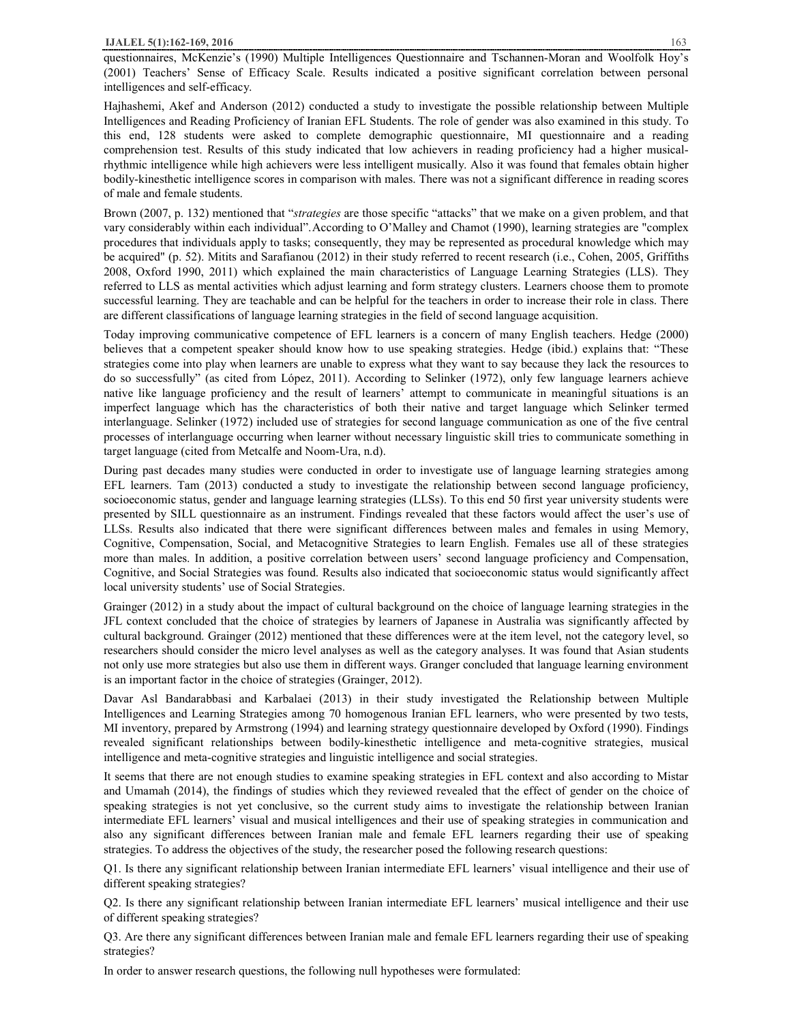questionnaires, McKenzie's (1990) Multiple Intelligences Questionnaire and Tschannen-Moran and Woolfolk Hoy's (2001) Teachers' Sense of Efficacy Scale. Results indicated a positive significant correlation between personal intelligences and self-efficacy.

Hajhashemi, Akef and Anderson (2012) conducted a study to investigate the possible relationship between Multiple Intelligences and Reading Proficiency of Iranian EFL Students. The role of gender was also examined in this study. To this end, 128 students were asked to complete demographic questionnaire, MI questionnaire and a reading comprehension test. Results of this study indicated that low achievers in reading proficiency had a higher musicalrhythmic intelligence while high achievers were less intelligent musically. Also it was found that females obtain higher bodily-kinesthetic intelligence scores in comparison with males. There was not a significant difference in reading scores of male and female students.

Brown (2007, p. 132) mentioned that "*strategies* are those specific "attacks" that we make on a given problem, and that vary considerably within each individual".According to O'Malley and Chamot (1990), learning strategies are "complex procedures that individuals apply to tasks; consequently, they may be represented as procedural knowledge which may be acquired" (p. 52). Mitits and Sarafianou (2012) in their study referred to recent research (i.e., Cohen, 2005, Griffiths 2008, Oxford 1990, 2011) which explained the main characteristics of Language Learning Strategies (LLS). They referred to LLS as mental activities which adjust learning and form strategy clusters. Learners choose them to promote successful learning. They are teachable and can be helpful for the teachers in order to increase their role in class. There are different classifications of language learning strategies in the field of second language acquisition.

Today improving communicative competence of EFL learners is a concern of many English teachers. Hedge (2000) believes that a competent speaker should know how to use speaking strategies. Hedge (ibid.) explains that: "These strategies come into play when learners are unable to express what they want to say because they lack the resources to do so successfully" (as cited from López, 2011). According to Selinker (1972), only few language learners achieve native like language proficiency and the result of learners' attempt to communicate in meaningful situations is an imperfect language which has the characteristics of both their native and target language which Selinker termed interlanguage. Selinker (1972) included use of strategies for second language communication as one of the five central processes of interlanguage occurring when learner without necessary linguistic skill tries to communicate something in target language (cited from Metcalfe and Noom-Ura, n.d).

During past decades many studies were conducted in order to investigate use of language learning strategies among EFL learners. Tam (2013) conducted a study to investigate the relationship between second language proficiency, socioeconomic status, gender and language learning strategies (LLSs). To this end 50 first year university students were presented by SILL questionnaire as an instrument. Findings revealed that these factors would affect the user's use of LLSs. Results also indicated that there were significant differences between males and females in using Memory, Cognitive, Compensation, Social, and Metacognitive Strategies to learn English. Females use all of these strategies more than males. In addition, a positive correlation between users' second language proficiency and Compensation, Cognitive, and Social Strategies was found. Results also indicated that socioeconomic status would significantly affect local university students' use of Social Strategies.

Grainger (2012) in a study about the impact of cultural background on the choice of language learning strategies in the JFL context concluded that the choice of strategies by learners of Japanese in Australia was significantly affected by cultural background. Grainger (2012) mentioned that these differences were at the item level, not the category level, so researchers should consider the micro level analyses as well as the category analyses. It was found that Asian students not only use more strategies but also use them in different ways. Granger concluded that language learning environment is an important factor in the choice of strategies (Grainger, 2012).

Davar Asl Bandarabbasi and Karbalaei (2013) in their study investigated the Relationship between Multiple Intelligences and Learning Strategies among 70 homogenous Iranian EFL learners, who were presented by two tests, MI inventory, prepared by Armstrong (1994) and learning strategy questionnaire developed by Oxford (1990). Findings revealed significant relationships between bodily-kinesthetic intelligence and meta-cognitive strategies, musical intelligence and meta-cognitive strategies and linguistic intelligence and social strategies.

It seems that there are not enough studies to examine speaking strategies in EFL context and also according to Mistar and Umamah (2014), the findings of studies which they reviewed revealed that the effect of gender on the choice of speaking strategies is not yet conclusive, so the current study aims to investigate the relationship between Iranian intermediate EFL learners' visual and musical intelligences and their use of speaking strategies in communication and also any significant differences between Iranian male and female EFL learners regarding their use of speaking strategies. To address the objectives of the study, the researcher posed the following research questions:

Q1. Is there any significant relationship between Iranian intermediate EFL learners' visual intelligence and their use of different speaking strategies?

Q2. Is there any significant relationship between Iranian intermediate EFL learners' musical intelligence and their use of different speaking strategies?

Q3. Are there any significant differences between Iranian male and female EFL learners regarding their use of speaking strategies?

In order to answer research questions, the following null hypotheses were formulated: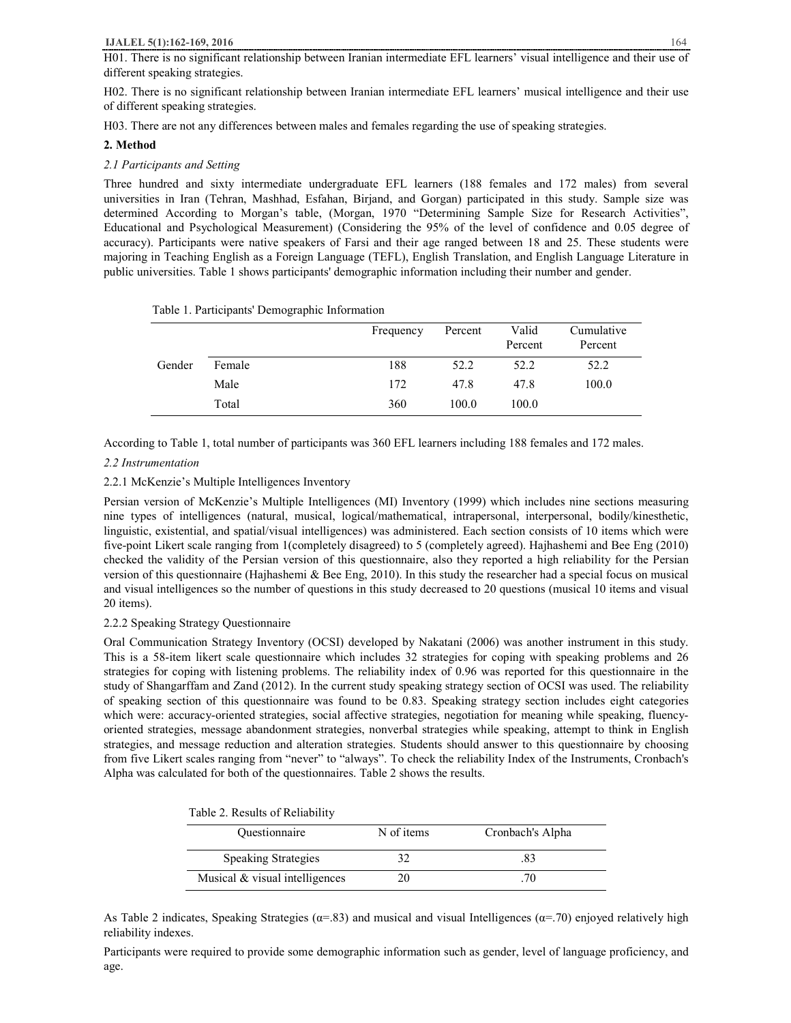#### **IJALEL 5(1):162-169, 2016** 164

H01. There is no significant relationship between Iranian intermediate EFL learners' visual intelligence and their use of different speaking strategies.

H02. There is no significant relationship between Iranian intermediate EFL learners' musical intelligence and their use of different speaking strategies.

H03. There are not any differences between males and females regarding the use of speaking strategies.

## **2. Method**

## *2.1 Participants and Setting*

Three hundred and sixty intermediate undergraduate EFL learners (188 females and 172 males) from several universities in Iran (Tehran, Mashhad, Esfahan, Birjand, and Gorgan) participated in this study. Sample size was determined According to Morgan's table, (Morgan, 1970 "Determining Sample Size for Research Activities", Educational and Psychological Measurement) (Considering the 95% of the level of confidence and 0.05 degree of accuracy). Participants were native speakers of Farsi and their age ranged between 18 and 25. These students were majoring in Teaching English as a Foreign Language (TEFL), English Translation, and English Language Literature in public universities. Table 1 shows participants' demographic information including their number and gender.

|        |        | Frequency | Percent | Valid<br>Percent | Cumulative<br>Percent |
|--------|--------|-----------|---------|------------------|-----------------------|
| Gender | Female | 188       | 52.2    | 52.2             | 52.2                  |
|        | Male   | 172       | 47.8    | 47.8             | 100.0                 |
|        | Total  | 360       | 100.0   | 100.0            |                       |

Table 1. Participants' Demographic Information

According to Table 1, total number of participants was 360 EFL learners including 188 females and 172 males.

## *2.2 Instrumentation*

# 2.2.1 McKenzie's Multiple Intelligences Inventory

Persian version of McKenzie's Multiple Intelligences (MI) Inventory (1999) which includes nine sections measuring nine types of intelligences (natural, musical, logical/mathematical, intrapersonal, interpersonal, bodily/kinesthetic, linguistic, existential, and spatial/visual intelligences) was administered. Each section consists of 10 items which were five-point Likert scale ranging from 1(completely disagreed) to 5 (completely agreed). Hajhashemi and Bee Eng (2010) checked the validity of the Persian version of this questionnaire, also they reported a high reliability for the Persian version of this questionnaire (Hajhashemi & Bee Eng, 2010). In this study the researcher had a special focus on musical and visual intelligences so the number of questions in this study decreased to 20 questions (musical 10 items and visual 20 items).

### 2.2.2 Speaking Strategy Questionnaire

Oral Communication Strategy Inventory (OCSI) developed by Nakatani (2006) was another instrument in this study. This is a 58-item likert scale questionnaire which includes 32 strategies for coping with speaking problems and 26 strategies for coping with listening problems. The reliability index of 0.96 was reported for this questionnaire in the study of Shangarffam and Zand (2012). In the current study speaking strategy section of OCSI was used. The reliability of speaking section of this questionnaire was found to be 0.83. Speaking strategy section includes eight categories which were: accuracy-oriented strategies, social affective strategies, negotiation for meaning while speaking, fluencyoriented strategies, message abandonment strategies, nonverbal strategies while speaking, attempt to think in English strategies, and message reduction and alteration strategies. Students should answer to this questionnaire by choosing from five Likert scales ranging from "never" to "always". To check the reliability Index of the Instruments, Cronbach's Alpha was calculated for both of the questionnaires. Table 2 shows the results.

|  |  | Table 2. Results of Reliability |
|--|--|---------------------------------|
|--|--|---------------------------------|

| <b>Questionnaire</b>           | N of items | Cronbach's Alpha |
|--------------------------------|------------|------------------|
| <b>Speaking Strategies</b>     |            |                  |
| Musical & visual intelligences |            |                  |

As Table 2 indicates, Speaking Strategies ( $\alpha$ =.83) and musical and visual Intelligences ( $\alpha$ =.70) enjoyed relatively high reliability indexes.

Participants were required to provide some demographic information such as gender, level of language proficiency, and age.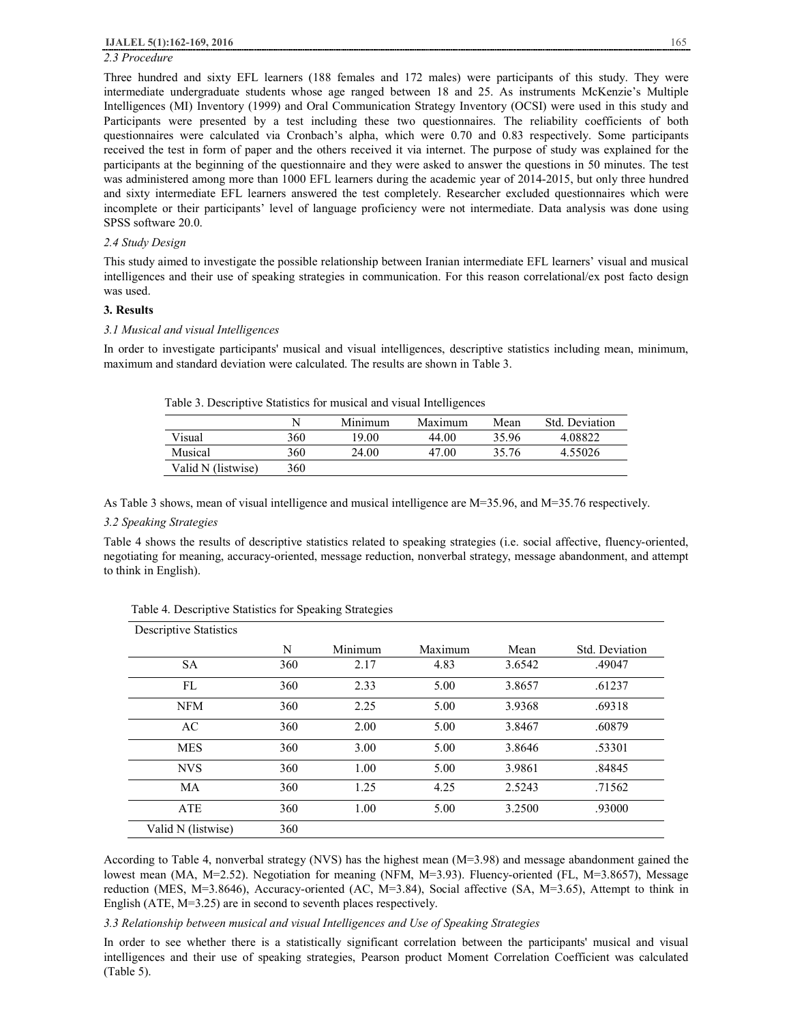# *2.3 Procedure*

Three hundred and sixty EFL learners (188 females and 172 males) were participants of this study. They were intermediate undergraduate students whose age ranged between 18 and 25. As instruments McKenzie's Multiple Intelligences (MI) Inventory (1999) and Oral Communication Strategy Inventory (OCSI) were used in this study and Participants were presented by a test including these two questionnaires. The reliability coefficients of both questionnaires were calculated via Cronbach's alpha, which were 0.70 and 0.83 respectively. Some participants received the test in form of paper and the others received it via internet. The purpose of study was explained for the participants at the beginning of the questionnaire and they were asked to answer the questions in 50 minutes. The test was administered among more than 1000 EFL learners during the academic year of 2014-2015, but only three hundred and sixty intermediate EFL learners answered the test completely. Researcher excluded questionnaires which were incomplete or their participants' level of language proficiency were not intermediate. Data analysis was done using SPSS software 20.0.

### *2.4 Study Design*

This study aimed to investigate the possible relationship between Iranian intermediate EFL learners' visual and musical intelligences and their use of speaking strategies in communication. For this reason correlational/ex post facto design was used.

### **3. Results**

## *3.1 Musical and visual Intelligences*

In order to investigate participants' musical and visual intelligences, descriptive statistics including mean, minimum, maximum and standard deviation were calculated. The results are shown in Table 3.

| Table 3. Descriptive Statistics for musical and visual Intelligences |  |
|----------------------------------------------------------------------|--|
|----------------------------------------------------------------------|--|

|                    |     | Minimum | Maximum | Mean  | Std. Deviation |
|--------------------|-----|---------|---------|-------|----------------|
| Visual             | 360 | 19.00   | 44.00   | 35.96 | 4.08822        |
| Musical            | 360 | 24.00   | 47.00   | 35.76 | 4.55026        |
| Valid N (listwise) | 360 |         |         |       |                |

As Table 3 shows, mean of visual intelligence and musical intelligence are M=35.96, and M=35.76 respectively.

## *3.2 Speaking Strategies*

Table 4 shows the results of descriptive statistics related to speaking strategies (i.e. social affective, fluency-oriented, negotiating for meaning, accuracy-oriented, message reduction, nonverbal strategy, message abandonment, and attempt to think in English).

| Descriptive Statistics |     |         |         |        |                |
|------------------------|-----|---------|---------|--------|----------------|
|                        | N   | Minimum | Maximum | Mean   | Std. Deviation |
| <b>SA</b>              | 360 | 2.17    | 4.83    | 3.6542 | .49047         |
| FL                     | 360 | 2.33    | 5.00    | 3.8657 | .61237         |
| <b>NFM</b>             | 360 | 2.25    | 5.00    | 3.9368 | .69318         |
| AC                     | 360 | 2.00    | 5.00    | 3.8467 | .60879         |
| <b>MES</b>             | 360 | 3.00    | 5.00    | 3.8646 | .53301         |
| <b>NVS</b>             | 360 | 1.00    | 5.00    | 3.9861 | .84845         |
| MA                     | 360 | 1.25    | 4.25    | 2.5243 | .71562         |
| ATE                    | 360 | 1.00    | 5.00    | 3.2500 | .93000         |
| Valid N (listwise)     | 360 |         |         |        |                |

Table 4. Descriptive Statistics for Speaking Strategies

According to Table 4, nonverbal strategy (NVS) has the highest mean (M=3.98) and message abandonment gained the lowest mean (MA, M=2.52). Negotiation for meaning (NFM, M=3.93). Fluency-oriented (FL, M=3.8657), Message reduction (MES, M=3.8646), Accuracy-oriented (AC, M=3.84), Social affective (SA, M=3.65), Attempt to think in English (ATE, M=3.25) are in second to seventh places respectively.

*3.3 Relationship between musical and visual Intelligences and Use of Speaking Strategies*

In order to see whether there is a statistically significant correlation between the participants' musical and visual intelligences and their use of speaking strategies, Pearson product Moment Correlation Coefficient was calculated (Table 5).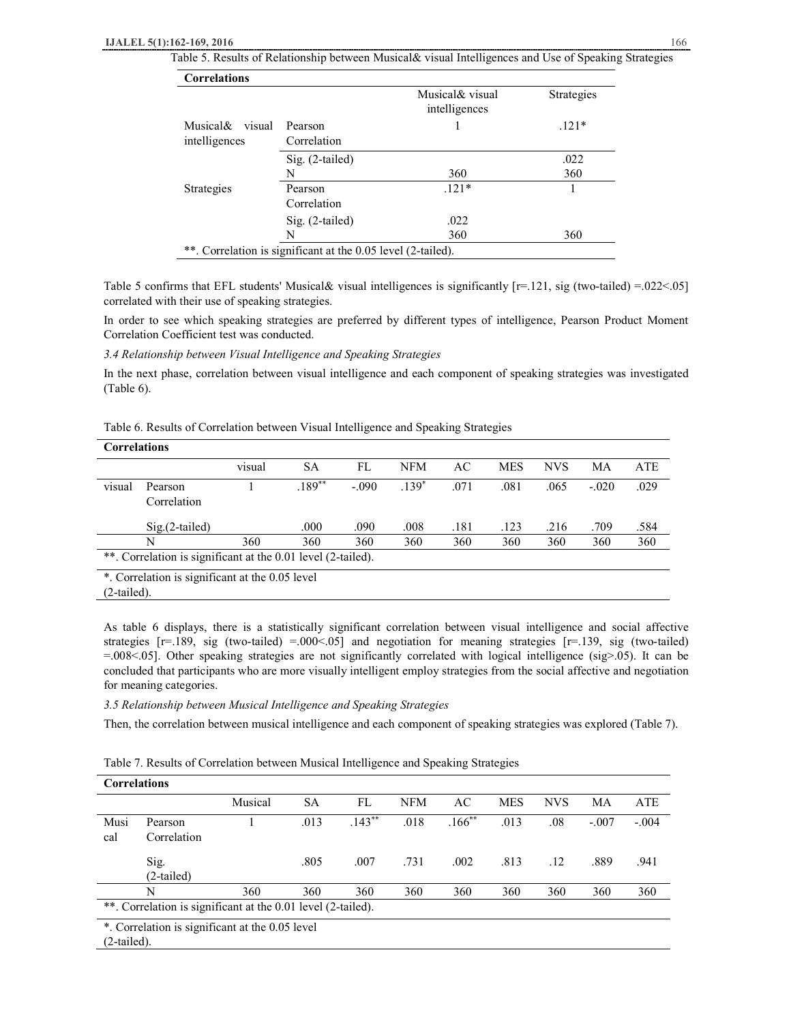Table 5. Results of Relationship between Musical& visual Intelligences and Use of Speaking Strategies

| <b>Correlations</b> |                                                              |                                   |            |
|---------------------|--------------------------------------------------------------|-----------------------------------|------------|
|                     |                                                              | Musical & visual<br>intelligences | Strategies |
| Musical&<br>visual  | Pearson                                                      |                                   | $.121*$    |
| intelligences       | Correlation                                                  |                                   |            |
|                     | Sig. (2-tailed)                                              |                                   | .022       |
|                     | N                                                            | 360                               | 360        |
| Strategies          | Pearson                                                      | $.121*$                           |            |
|                     | Correlation                                                  |                                   |            |
|                     | $Sig. (2-tailed)$                                            | .022                              |            |
|                     | N                                                            | 360                               | 360        |
|                     | **. Correlation is significant at the 0.05 level (2-tailed). |                                   |            |

Table 5 confirms that EFL students' Musical & visual intelligences is significantly  $[r=.121, sig (two-tailed) = .022 < .05]$ correlated with their use of speaking strategies.

In order to see which speaking strategies are preferred by different types of intelligence, Pearson Product Moment Correlation Coefficient test was conducted.

*3.4 Relationship between Visual Intelligence and Speaking Strategies*

In the next phase, correlation between visual intelligence and each component of speaking strategies was investigated (Table 6).

Table 6. Results of Correlation between Visual Intelligence and Speaking Strategies

|        | <b>Correlations</b>                                          |        |           |         |         |      |            |            |         |            |  |  |
|--------|--------------------------------------------------------------|--------|-----------|---------|---------|------|------------|------------|---------|------------|--|--|
|        |                                                              | visual | <b>SA</b> | FL      | NFM     | AC   | <b>MES</b> | <b>NVS</b> | МA      | <b>ATE</b> |  |  |
| visual | Pearson<br>Correlation                                       |        | $.189***$ | $-.090$ | $.139*$ | .071 | .081       | .065       | $-.020$ | .029       |  |  |
|        | $Sig(2-tailed)$                                              |        | .000      | .090    | .008    | .181 | .123       | .216       | .709    | .584       |  |  |
|        | N                                                            | 360    | 360       | 360     | 360     | 360  | 360        | 360        | 360     | 360        |  |  |
|        | **. Correlation is significant at the 0.01 level (2-tailed). |        |           |         |         |      |            |            |         |            |  |  |
|        | * Correlation is significant at the 0.05 level               |        |           |         |         |      |            |            |         |            |  |  |

orrelation is significant at the 0.05 level

(2-tailed).

As table 6 displays, there is a statistically significant correlation between visual intelligence and social affective strategies  $[r=.189, sig (two-tailed) = .000<0.05]$  and negotiation for meaning strategies  $[r=.139, sig (two-tailed)$  $=0.008<0.05$ . Other speaking strategies are not significantly correlated with logical intelligence (sig>.05). It can be concluded that participants who are more visually intelligent employ strategies from the social affective and negotiation for meaning categories.

*3.5 Relationship between Musical Intelligence and Speaking Strategies* 

Then, the correlation between musical intelligence and each component of speaking strategies was explored (Table 7).

|  |  | Table 7. Results of Correlation between Musical Intelligence and Speaking Strategies |  |  |
|--|--|--------------------------------------------------------------------------------------|--|--|
|  |  |                                                                                      |  |  |

| <b>Correlations</b>                                          |                                                 |         |      |          |            |           |            |            |         |         |  |
|--------------------------------------------------------------|-------------------------------------------------|---------|------|----------|------------|-----------|------------|------------|---------|---------|--|
|                                                              |                                                 | Musical | SА   | FL       | <b>NFM</b> | AC        | <b>MES</b> | <b>NVS</b> | MA      | ATE     |  |
| Musi<br>cal                                                  | Pearson<br>Correlation                          |         | .013 | $.143**$ | .018       | $.166***$ | .013       | .08        | $-.007$ | $-.004$ |  |
|                                                              | Sig.<br>(2-tailed)                              |         | .805 | .007     | .731       | .002      | .813       | .12        | .889    | .941    |  |
|                                                              | N                                               | 360     | 360  | 360      | 360        | 360       | 360        | 360        | 360     | 360     |  |
| **. Correlation is significant at the 0.01 level (2-tailed). |                                                 |         |      |          |            |           |            |            |         |         |  |
| (2.11)                                                       | *. Correlation is significant at the 0.05 level |         |      |          |            |           |            |            |         |         |  |

(2-tailed).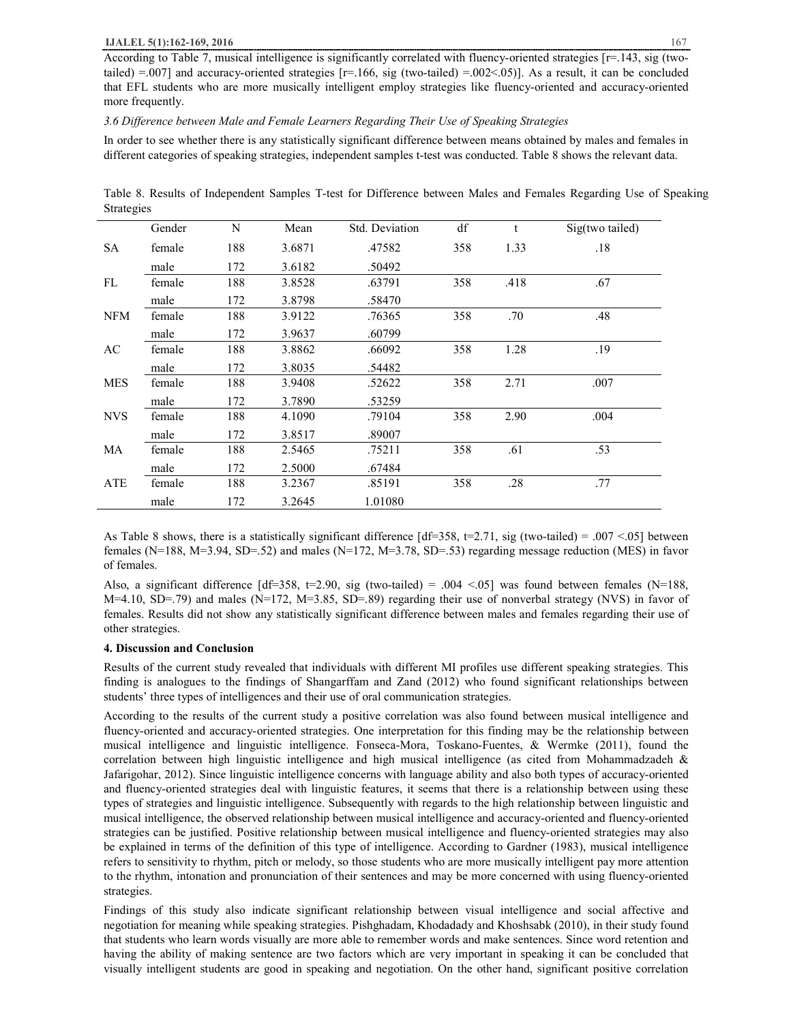According to Table 7, musical intelligence is significantly correlated with fluency-oriented strategies [r=.143, sig (twotailed)  $=0.007$  and accuracy-oriented strategies [ $r=166$ , sig (two-tailed)  $=0.002<0.05$ ]. As a result, it can be concluded that EFL students who are more musically intelligent employ strategies like fluency-oriented and accuracy-oriented more frequently.

## *3.6 Difference between Male and Female Learners Regarding Their Use of Speaking Strategies*

In order to see whether there is any statistically significant difference between means obtained by males and females in different categories of speaking strategies, independent samples t-test was conducted. Table 8 shows the relevant data.

|                   | Table 8. Results of Independent Samples T-test for Difference between Males and Females Regarding Use of Speaking |  |  |  |  |  |  |
|-------------------|-------------------------------------------------------------------------------------------------------------------|--|--|--|--|--|--|
| <b>Strategies</b> |                                                                                                                   |  |  |  |  |  |  |

|            | Gender | N   | Mean   | Std. Deviation | df  | t    | Sig(two tailed) |
|------------|--------|-----|--------|----------------|-----|------|-----------------|
| <b>SA</b>  | female | 188 | 3.6871 | .47582         | 358 | 1.33 | .18             |
|            | male   | 172 | 3.6182 | .50492         |     |      |                 |
| FL         | female | 188 | 3.8528 | .63791         | 358 | .418 | .67             |
|            | male   | 172 | 3.8798 | .58470         |     |      |                 |
| <b>NFM</b> | female | 188 | 3.9122 | .76365         | 358 | .70  | .48             |
|            | male   | 172 | 3.9637 | .60799         |     |      |                 |
| AC         | female | 188 | 3.8862 | .66092         | 358 | 1.28 | .19             |
|            | male   | 172 | 3.8035 | .54482         |     |      |                 |
| <b>MES</b> | female | 188 | 3.9408 | .52622         | 358 | 2.71 | .007            |
|            | male   | 172 | 3.7890 | .53259         |     |      |                 |
| <b>NVS</b> | female | 188 | 4.1090 | .79104         | 358 | 2.90 | .004            |
|            | male   | 172 | 3.8517 | .89007         |     |      |                 |
| MA         | female | 188 | 2.5465 | .75211         | 358 | .61  | .53             |
|            | male   | 172 | 2.5000 | .67484         |     |      |                 |
| ATE        | female | 188 | 3.2367 | .85191         | 358 | .28  | .77             |
|            | male   | 172 | 3.2645 | 1.01080        |     |      |                 |

As Table 8 shows, there is a statistically significant difference  $\left[ df=358, t=2.71, sig (two-tailed) = .007 < .05 \right]$  between females (N=188, M=3.94, SD=.52) and males (N=172, M=3.78, SD=.53) regarding message reduction (MES) in favor of females.

Also, a significant difference  $\text{Id} = 358$ ,  $\text{Id} = 2.90$ , sig (two-tailed) = .004 <.05] was found between females (N=188, M=4.10, SD=.79) and males (N=172, M=3.85, SD=.89) regarding their use of nonverbal strategy (NVS) in favor of females. Results did not show any statistically significant difference between males and females regarding their use of other strategies.

#### **4. Discussion and Conclusion**

Results of the current study revealed that individuals with different MI profiles use different speaking strategies. This finding is analogues to the findings of Shangarffam and Zand (2012) who found significant relationships between students' three types of intelligences and their use of oral communication strategies.

According to the results of the current study a positive correlation was also found between musical intelligence and fluency-oriented and accuracy-oriented strategies. One interpretation for this finding may be the relationship between musical intelligence and linguistic intelligence. Fonseca-Mora, Toskano-Fuentes, & Wermke (2011), found the correlation between high linguistic intelligence and high musical intelligence (as cited from Mohammadzadeh & Jafarigohar, 2012). Since linguistic intelligence concerns with language ability and also both types of accuracy-oriented and fluency-oriented strategies deal with linguistic features, it seems that there is a relationship between using these types of strategies and linguistic intelligence. Subsequently with regards to the high relationship between linguistic and musical intelligence, the observed relationship between musical intelligence and accuracy-oriented and fluency-oriented strategies can be justified. Positive relationship between musical intelligence and fluency-oriented strategies may also be explained in terms of the definition of this type of intelligence. According to Gardner (1983), musical intelligence refers to sensitivity to rhythm, pitch or melody, so those students who are more musically intelligent pay more attention to the rhythm, intonation and pronunciation of their sentences and may be more concerned with using fluency-oriented strategies.

Findings of this study also indicate significant relationship between visual intelligence and social affective and negotiation for meaning while speaking strategies. Pishghadam, Khodadady and Khoshsabk (2010), in their study found that students who learn words visually are more able to remember words and make sentences. Since word retention and having the ability of making sentence are two factors which are very important in speaking it can be concluded that visually intelligent students are good in speaking and negotiation. On the other hand, significant positive correlation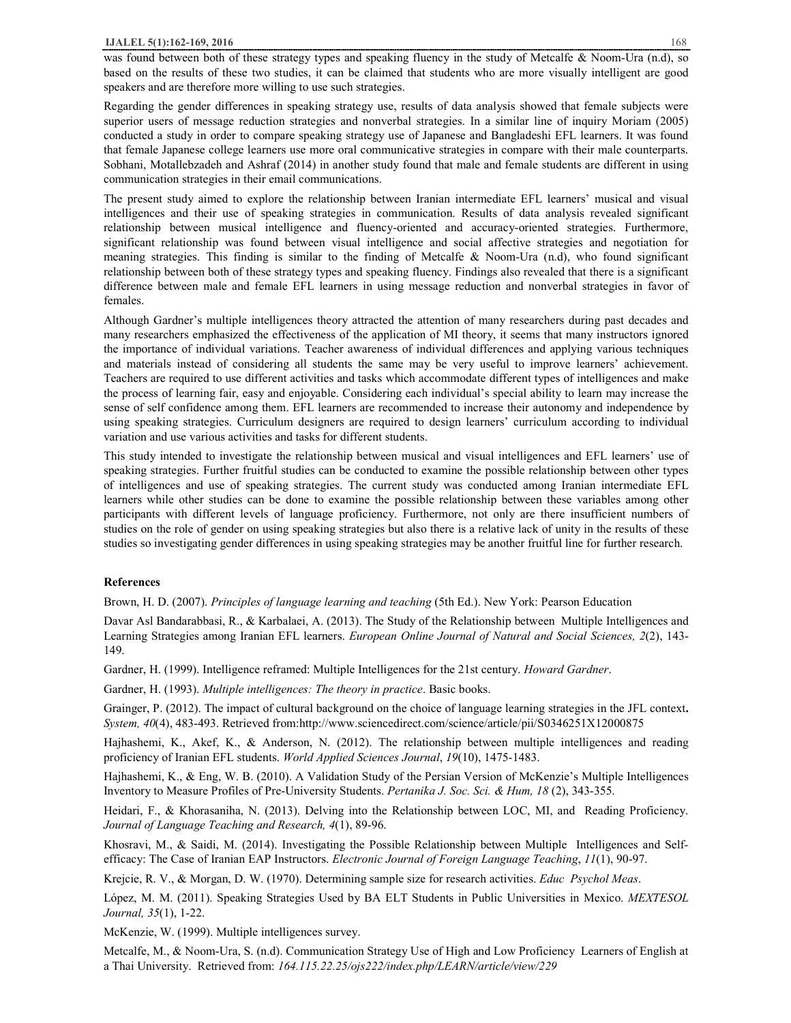was found between both of these strategy types and speaking fluency in the study of Metcalfe & Noom-Ura (n.d), so based on the results of these two studies, it can be claimed that students who are more visually intelligent are good speakers and are therefore more willing to use such strategies.

Regarding the gender differences in speaking strategy use, results of data analysis showed that female subjects were superior users of message reduction strategies and nonverbal strategies. In a similar line of inquiry Moriam (2005) conducted a study in order to compare speaking strategy use of Japanese and Bangladeshi EFL learners. It was found that female Japanese college learners use more oral communicative strategies in compare with their male counterparts. Sobhani, Motallebzadeh and Ashraf (2014) in another study found that male and female students are different in using communication strategies in their email communications.

The present study aimed to explore the relationship between Iranian intermediate EFL learners' musical and visual intelligences and their use of speaking strategies in communication. Results of data analysis revealed significant relationship between musical intelligence and fluency-oriented and accuracy-oriented strategies. Furthermore, significant relationship was found between visual intelligence and social affective strategies and negotiation for meaning strategies. This finding is similar to the finding of Metcalfe & Noom-Ura (n.d), who found significant relationship between both of these strategy types and speaking fluency. Findings also revealed that there is a significant difference between male and female EFL learners in using message reduction and nonverbal strategies in favor of females.

Although Gardner's multiple intelligences theory attracted the attention of many researchers during past decades and many researchers emphasized the effectiveness of the application of MI theory, it seems that many instructors ignored the importance of individual variations. Teacher awareness of individual differences and applying various techniques and materials instead of considering all students the same may be very useful to improve learners' achievement. Teachers are required to use different activities and tasks which accommodate different types of intelligences and make the process of learning fair, easy and enjoyable. Considering each individual's special ability to learn may increase the sense of self confidence among them. EFL learners are recommended to increase their autonomy and independence by using speaking strategies. Curriculum designers are required to design learners' curriculum according to individual variation and use various activities and tasks for different students.

This study intended to investigate the relationship between musical and visual intelligences and EFL learners' use of speaking strategies. Further fruitful studies can be conducted to examine the possible relationship between other types of intelligences and use of speaking strategies. The current study was conducted among Iranian intermediate EFL learners while other studies can be done to examine the possible relationship between these variables among other participants with different levels of language proficiency. Furthermore, not only are there insufficient numbers of studies on the role of gender on using speaking strategies but also there is a relative lack of unity in the results of these studies so investigating gender differences in using speaking strategies may be another fruitful line for further research.

#### **References**

Brown, H. D. (2007). *Principles of language learning and teaching* (5th Ed.). New York: Pearson Education

Davar Asl Bandarabbasi, R., & Karbalaei, A. (2013). The Study of the Relationship between Multiple Intelligences and Learning Strategies among Iranian EFL learners. *European Online Journal of Natural and Social Sciences, 2*(2), 143- 149.

Gardner, H. (1999). Intelligence reframed: Multiple Intelligences for the 21st century. *Howard Gardner*.

Gardner, H. (1993). *Multiple intelligences: The theory in practice*. Basic books.

Grainger, P. (2012). The impact of cultural background on the choice of language learning strategies in the JFL context**.**  *System, 40*(4), 483-493. Retrieved from:http://www.sciencedirect.com/science/article/pii/S0346251X12000875

Hajhashemi, K., Akef, K., & Anderson, N. (2012). The relationship between multiple intelligences and reading proficiency of Iranian EFL students. *World Applied Sciences Journal*, *19*(10), 1475-1483.

Hajhashemi, K., & Eng, W. B. (2010). A Validation Study of the Persian Version of McKenzie's Multiple Intelligences Inventory to Measure Profiles of Pre-University Students. *Pertanika J. Soc. Sci. & Hum, 18* (2), 343-355.

Heidari, F., & Khorasaniha, N. (2013). Delving into the Relationship between LOC, MI, and Reading Proficiency. *Journal of Language Teaching and Research, 4*(1), 89-96.

Khosravi, M., & Saidi, M. (2014). Investigating the Possible Relationship between Multiple Intelligences and Selfefficacy: The Case of Iranian EAP Instructors. *Electronic Journal of Foreign Language Teaching*, *11*(1), 90-97.

Krejcie, R. V., & Morgan, D. W. (1970). Determining sample size for research activities. *Educ Psychol Meas*.

López, M. M. (2011). Speaking Strategies Used by BA ELT Students in Public Universities in Mexico. *MEXTESOL Journal, 35*(1), 1-22.

McKenzie, W. (1999). Multiple intelligences survey.

Metcalfe, M., & Noom-Ura, S. (n.d). Communication Strategy Use of High and Low Proficiency Learners of English at a Thai University. Retrieved from: *164.115.22.25/ojs222/index.php/LEARN/article/view/229*